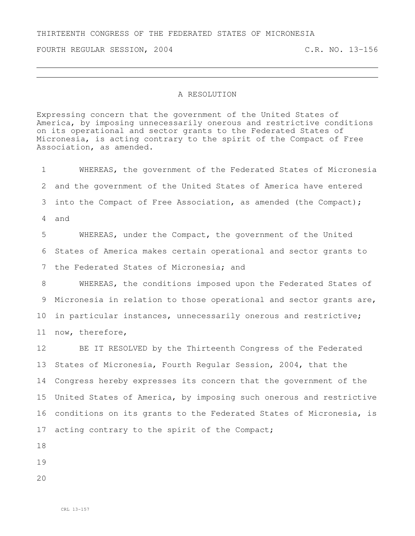## THIRTEENTH CONGRESS OF THE FEDERATED STATES OF MICRONESIA

FOURTH REGULAR SESSION, 2004 C.R. NO. 13-156

## A RESOLUTION

Expressing concern that the government of the United States of America, by imposing unnecessarily onerous and restrictive conditions on its operational and sector grants to the Federated States of Micronesia, is acting contrary to the spirit of the Compact of Free Association, as amended.

 WHEREAS, the government of the Federated States of Micronesia and the government of the United States of America have entered into the Compact of Free Association, as amended (the Compact); and WHEREAS, under the Compact, the government of the United States of America makes certain operational and sector grants to the Federated States of Micronesia; and WHEREAS, the conditions imposed upon the Federated States of Micronesia in relation to those operational and sector grants are, in particular instances, unnecessarily onerous and restrictive; now, therefore, BE IT RESOLVED by the Thirteenth Congress of the Federated States of Micronesia, Fourth Regular Session, 2004, that the Congress hereby expresses its concern that the government of the United States of America, by imposing such onerous and restrictive

conditions on its grants to the Federated States of Micronesia, is

17 acting contrary to the spirit of the Compact;